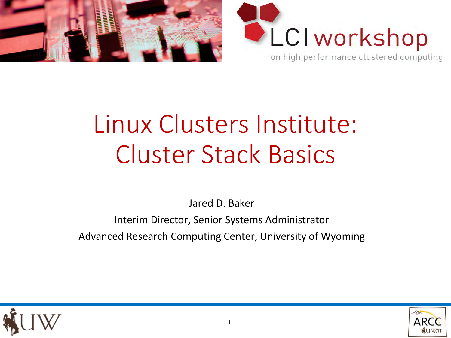



# Linux Clusters Institute: Cluster Stack Basics

Jared D. Baker

Interim Director, Senior Systems Administrator Advanced Research Computing Center, University of Wyoming



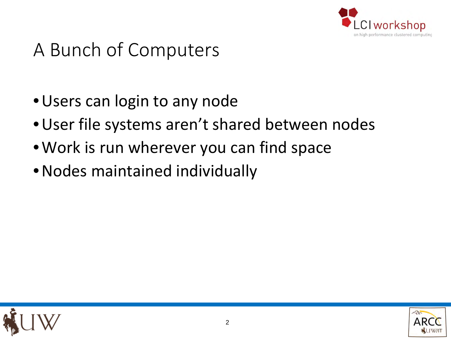

# A Bunch of Computers

- •Users can login to any node
- •User file systems aren't shared between nodes
- •Work is run wherever you can find space
- •Nodes maintained individually



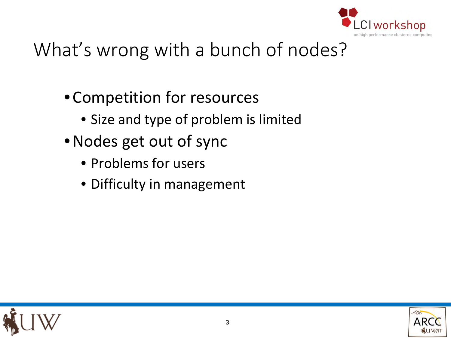

# What's wrong with a bunch of nodes?

- •Competition for resources
	- Size and type of problem is limited
- •Nodes get out of sync
	- Problems for users
	- Difficulty in management



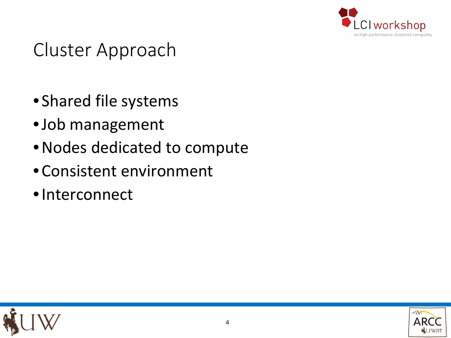

### Cluster Approach

- Shared file systems
- •Job management
- •Nodes dedicated to compute
- •Consistent environment
- •Interconnect



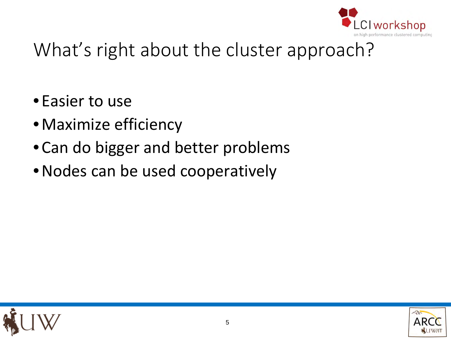

# What's right about the cluster approach?

- Easier to use
- •Maximize efficiency
- •Can do bigger and better problems
- •Nodes can be used cooperatively



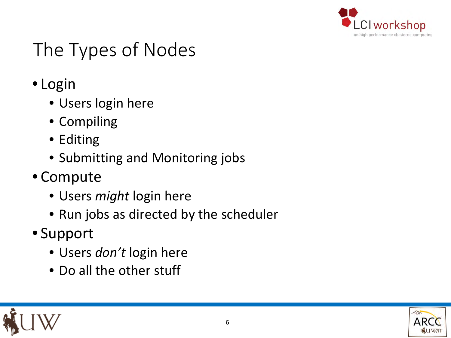

# The Types of Nodes

- Login
	- Users login here
	- Compiling
	- Editing
	- Submitting and Monitoring jobs
- Compute
	- Users *might* login here
	- Run jobs as directed by the scheduler
- Support
	- Users *don't* login here
	- Do all the other stuff



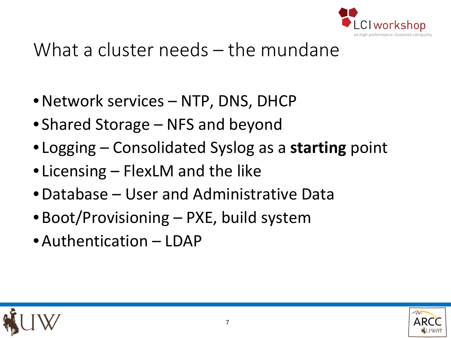

### What a cluster needs – the mundane

- •Network services NTP, DNS, DHCP
- Shared Storage NFS and beyond
- Logging Consolidated Syslog as a **starting** point
- Licensing FlexLM and the like
- •Database User and Administrative Data
- Boot/Provisioning PXE, build system
- •Authentication LDAP



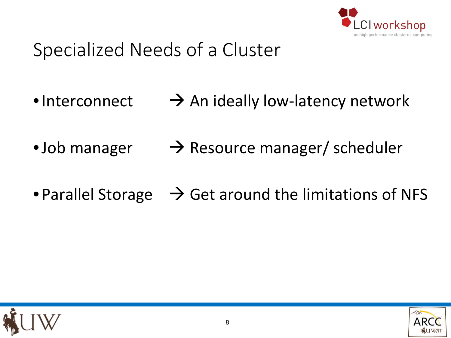

# Specialized Needs of a Cluster

- •Interconnect  $\rightarrow$  An ideally low-latency network
- •Job manager  $\rightarrow$  Resource manager/ scheduler
- Parallel Storage  $\rightarrow$  Get around the limitations of NFS



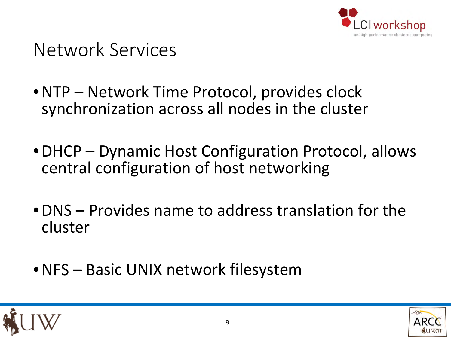

Network Services

- •NTP Network Time Protocol, provides clock synchronization across all nodes in the cluster
- DHCP Dynamic Host Configuration Protocol, allows central configuration of host networking
- •DNS Provides name to address translation for the cluster
- •NFS Basic UNIX network filesystem



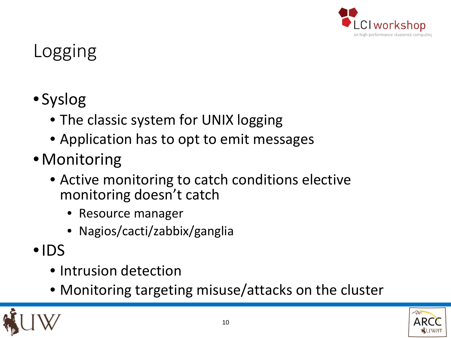

### Logging

- Syslog
	- The classic system for UNIX logging
	- Application has to opt to emit messages
- •Monitoring
	- Active monitoring to catch conditions elective monitoring doesn't catch
		- Resource manager
		- Nagios/cacti/zabbix/ganglia
- •IDS
	- Intrusion detection
	- Monitoring targeting misuse/attacks on the cluster

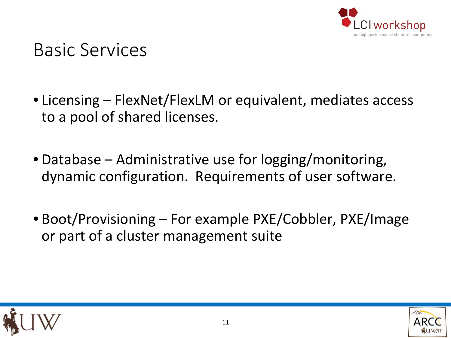

#### Basic Services

- Licensing FlexNet/FlexLM or equivalent, mediates access to a pool of shared licenses.
- Database Administrative use for logging/monitoring, dynamic configuration. Requirements of user software.
- Boot/Provisioning For example PXE/Cobbler, PXE/Image or part of a cluster management suite



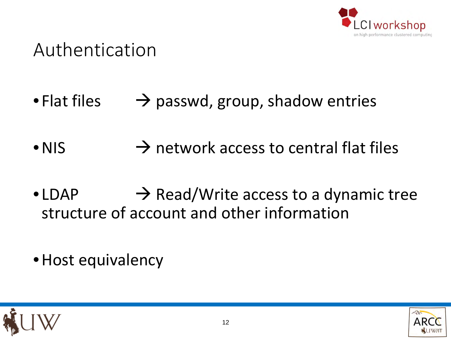

#### Authentication

- Flat files  $\rightarrow$  passwd, group, shadow entries
- NIS  $\rightarrow$  network access to central flat files
- LDAP  $\rightarrow$  Read/Write access to a dynamic tree structure of account and other information
- Host equivalency



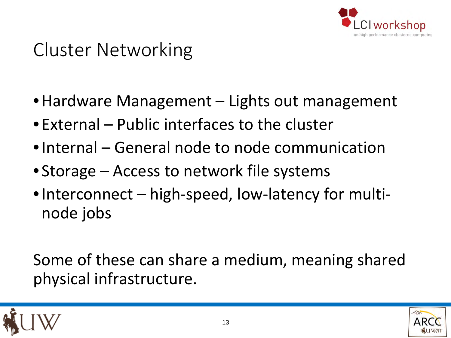

### Cluster Networking

- Hardware Management Lights out management
- External Public interfaces to the cluster
- •Internal General node to node communication
- Storage Access to network file systems
- •Interconnect high-speed, low-latency for multinode jobs

Some of these can share a medium, meaning shared physical infrastructure.



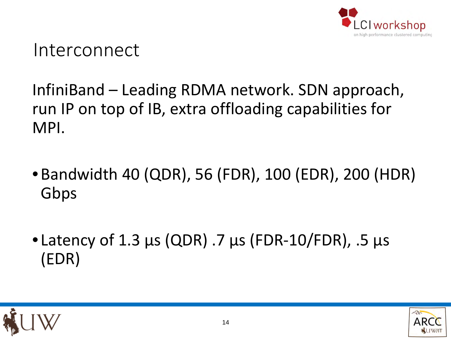

#### Interconnect

InfiniBand – Leading RDMA network. SDN approach, run IP on top of IB, extra offloading capabilities for MPI.

- •Bandwidth 40 (QDR), 56 (FDR), 100 (EDR), 200 (HDR) Gbps
- Latency of 1.3 µs (QDR) .7 µs (FDR-10/FDR), .5 µs (EDR)



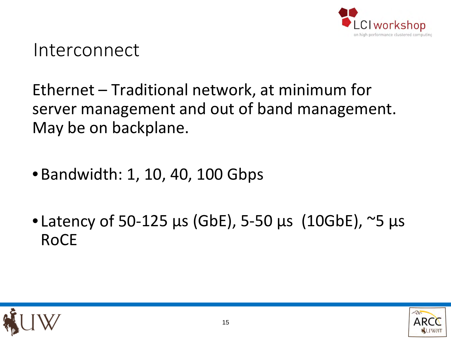

#### Interconnect

#### Ethernet – Traditional network, at minimum for server management and out of band management. May be on backplane.

- •Bandwidth: 1, 10, 40, 100 Gbps
- Latency of 50-125 µs (GbE), 5-50 µs (10GbE), ~5 µs RoCE



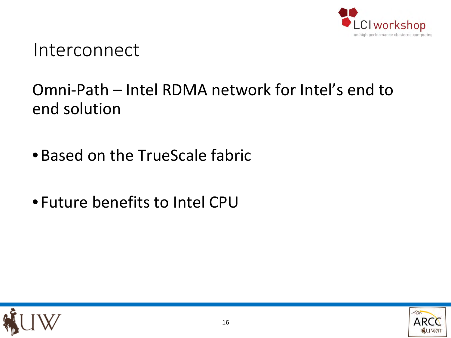

#### Interconnect

#### Omni-Path – Intel RDMA network for Intel's end to end solution

- •Based on the TrueScale fabric
- Future benefits to Intel CPU



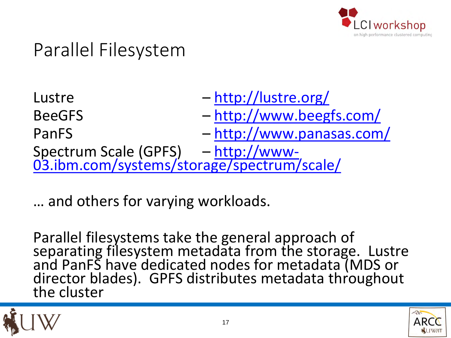

### Parallel Filesystem

- Lustre <http://lustre.org/> BeeGFS – <http://www.beegfs.com/> PanFS – <http://www.panasas.com/> Spectrum Scale (GPFS) – http://www-<br>[03.ibm.com/systems/storage/spectrum/scale/](http://www-03.ibm.com/systems/storage/spectrum/scale/)
- … and others for varying workloads.

Parallel filesystems take the general approach of<br>separating filesystem metadata from the storage. Lustre and PanFS have dedicated nodes for metadata (MDS or<br>director blades). GPFS distributes metadata throughout director blades). GPFS distributes metadata throughout<br>the cluster



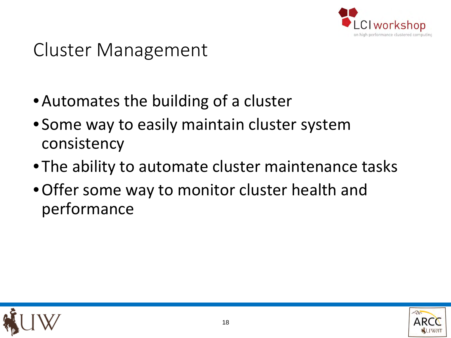

### Cluster Management

- •Automates the building of a cluster
- Some way to easily maintain cluster system consistency
- The ability to automate cluster maintenance tasks
- •Offer some way to monitor cluster health and performance



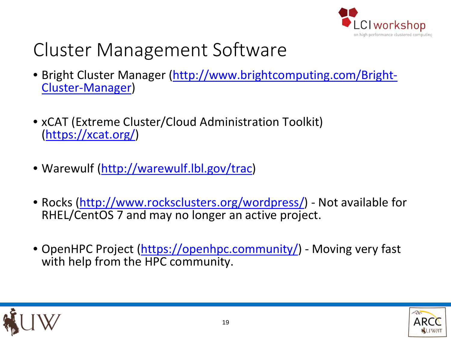

### Cluster Management Software

- [Bright Cluster Manager \(http://www.brightcomputing.com/Bright-](http://www.brightcomputing.com/Bright-Cluster-Manager))Cluster-Manager)
- xCAT (Extreme Cluster/Cloud Administration Toolkit) ([https://xcat.org/\)](https://xcat.org/))
- Warewulf [\(http://warewulf.lbl.gov/trac\)](http://warewulf.lbl.gov/trac))
- Rocks ([http://www.rocksclusters.org/wordpress/\)](http://www.rocksclusters.org/wordpress/)) Not available for RHEL/CentOS 7 and may no longer an active project.
- OpenHPC Project ([https://openhpc.community/\)](https://openhpc.community/)) Moving very fast with help from the HPC community.



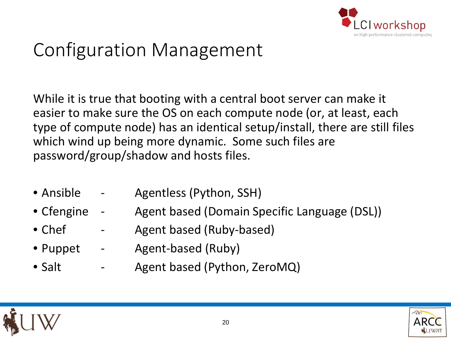

### Configuration Management

While it is true that booting with a central boot server can make it easier to make sure the OS on each compute node (or, at least, each type of compute node) has an identical setup/install, there are still files which wind up being more dynamic. Some such files are password/group/shadow and hosts files.

- Ansible Agentless (Python, SSH)
- Cfengine Agent based (Domain Specific Language (DSL))
- Chef Agent based (Ruby-based)
- Puppet Agent-based (Ruby)
- Salt Agent based (Python, ZeroMQ)

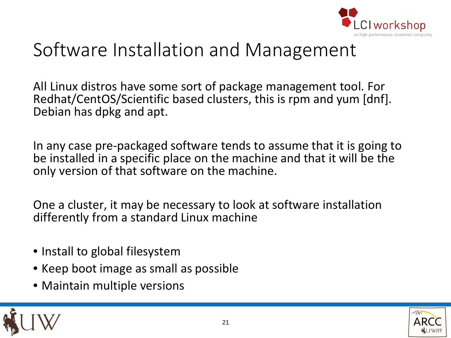

### Software Installation and Management

All Linux distros have some sort of package management tool. For Redhat/CentOS/Scientific based clusters, this is rpm and yum [dnf]. Debian has dpkg and apt.

In any case pre-packaged software tends to assume that it is going to be installed in a specific place on the machine and that it will be the only version of that software on the machine.

One a cluster, it may be necessary to look at software installation differently from a standard Linux machine

- Install to global filesystem
- Keep boot image as small as possible
- Maintain multiple versions



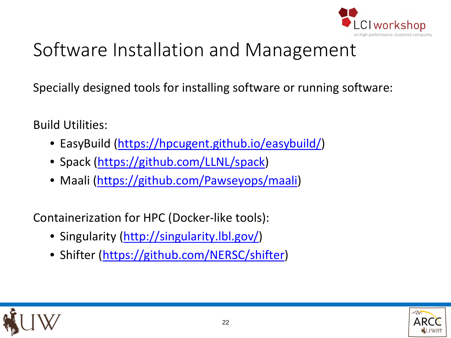

# Software Installation and Management

Specially designed tools for installing software or running software:

Build Utilities:

- EasyBuild [\(https://hpcugent.github.io/easybuild/\)](https://hpcugent.github.io/easybuild/)
- Spack (<https://github.com/LLNL/spack>)
- Maali ([https://github.com/Pawseyops/maali\)](https://github.com/Pawseyops/maali)

Containerization for HPC (Docker-like tools):

- Singularity (<http://singularity.lbl.gov/>)
- Shifter (<https://github.com/NERSC/shifter>)



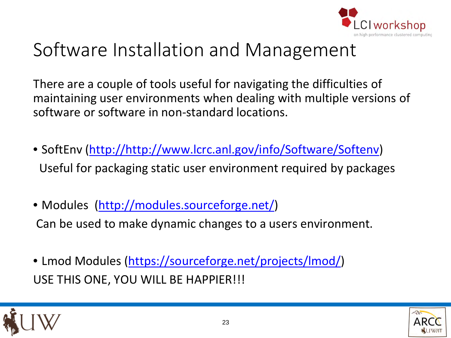

### Software Installation and Management

There are a couple of tools useful for navigating the difficulties of maintaining user environments when dealing with multiple versions of software or software in non-standard locations.

- SoftEnv [\(http://http://www.lcrc.anl.gov/info/Software/Softenv](http://http:/www.lcrc.anl.gov/info/Software/Softenv)) Useful for packaging static user environment required by packages
- Modules [\(http://modules.sourceforge.net/\)](http://modules.sourceforge.net/) Can be used to make dynamic changes to a users environment.
- Lmod Modules ([https://sourceforge.net/projects/lmod/](https://sourceforge.net/projects/lmod/))) USE THIS ONE, YOU WILL BE HAPPIER!!!



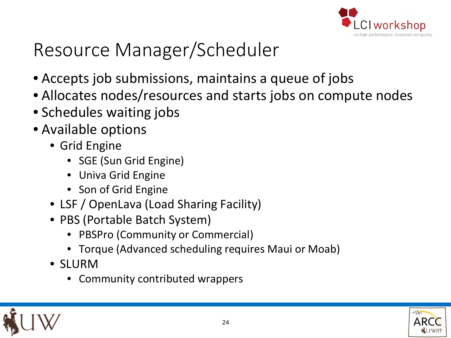

### Resource Manager/Scheduler

- Accepts job submissions, maintains a queue of jobs
- Allocates nodes/resources and starts jobs on compute nodes
- Schedules waiting jobs
- Available options
	- Grid Engine
		- SGE (Sun Grid Engine)
		- Univa Grid Engine
		- Son of Grid Engine
	- LSF / OpenLava (Load Sharing Facility)
	- PBS (Portable Batch System)
		- PBSPro (Community or Commercial)
		- Torque (Advanced scheduling requires Maui or Moab)
	- SLURM
		- Community contributed wrappers



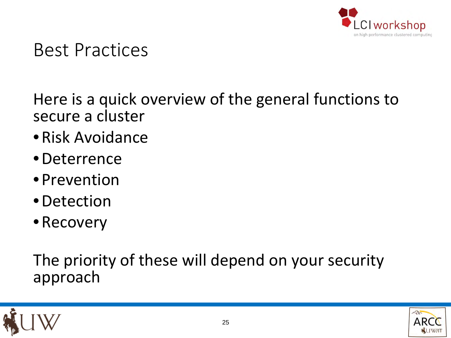

#### Best Practices

Here is a quick overview of the general functions to secure a cluster

- •Risk Avoidance
- •Deterrence
- Prevention
- •Detection
- Recovery

The priority of these will depend on your security approach



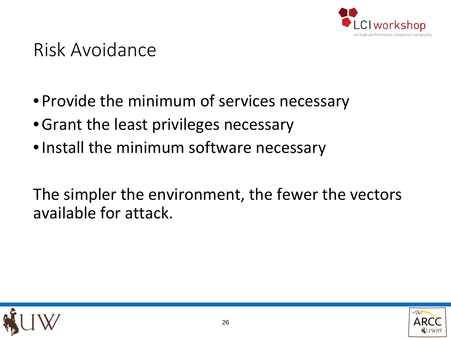

### Risk Avoidance

- Provide the minimum of services necessary
- •Grant the least privileges necessary
- •Install the minimum software necessary

The simpler the environment, the fewer the vectors available for attack.



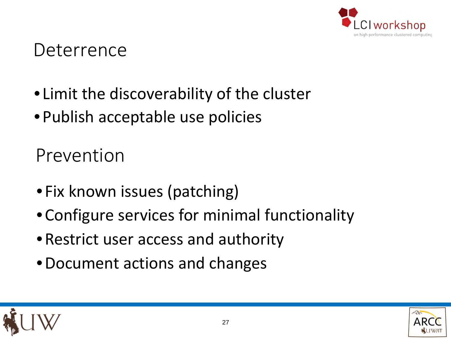

#### Deterrence

- Limit the discoverability of the cluster
- Publish acceptable use policies

Prevention

- Fix known issues (patching)
- •Configure services for minimal functionality
- •Restrict user access and authority
- •Document actions and changes



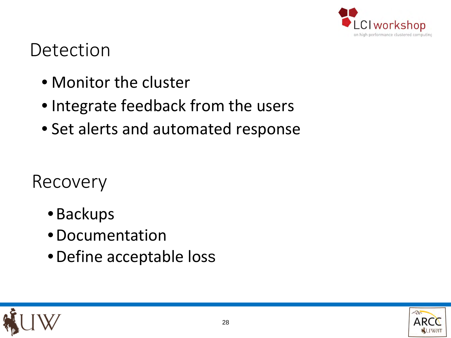

#### Detection

- Monitor the cluster
- Integrate feedback from the users
- Set alerts and automated response

Recovery

- •Backups
- •Documentation
- •Define acceptable loss